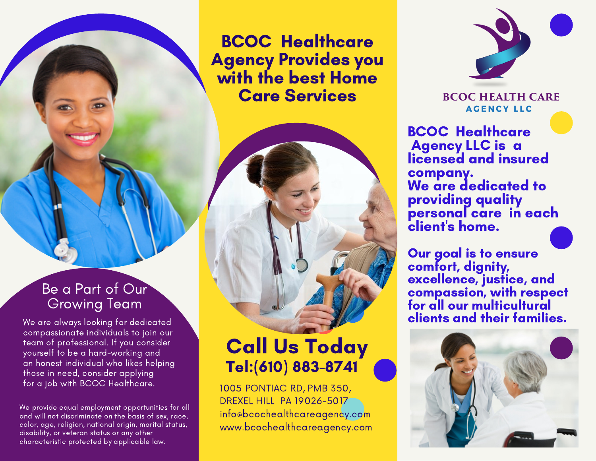BCOC Healthcare Agency Provides you with the best Home Care Services

### Be a Part of Our Growing Team

We are always looking for dedicated compassionate individuals to join our team of professional. If you consider yourself to be a hard-working and an honest individual who likes helping those in need, consider applying for a job with BCOC Healthcare.

We provide equal employment opportunities for all and will not discriminate on the basis of sex, race, color, age, religion, national origin, marital status, disability, or veteran status or any other characteristic protected by applicable law.

# Call Us Today Tel:(610) 883-8741

1005 PONTIAC RD, PMB 350, DREXEL HILL PA 19026-5017 info@bcochealthcareagency.com www.bcochealthcareagency.com



#### **BCOC HEALTH CARE AGENCY LLC**

BCOC Healthcare **Agency LLC is a** licensed and insured company. We are dedicated to providing quality personal care in each client' s home.

Our goal is to ensure comfort, dignity, excellence, justice, and compassion, with respect for all our multicultural clients and their families.